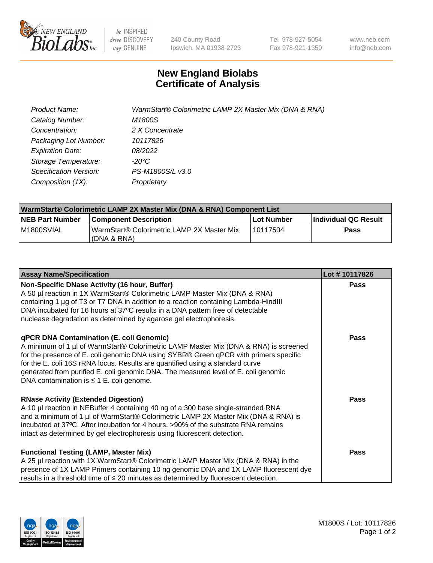

 $be$  INSPIRED drive DISCOVERY stay GENUINE

240 County Road Ipswich, MA 01938-2723 Tel 978-927-5054 Fax 978-921-1350 www.neb.com info@neb.com

## **New England Biolabs Certificate of Analysis**

| Product Name:           | WarmStart® Colorimetric LAMP 2X Master Mix (DNA & RNA) |
|-------------------------|--------------------------------------------------------|
| Catalog Number:         | M1800S                                                 |
| Concentration:          | 2 X Concentrate                                        |
| Packaging Lot Number:   | 10117826                                               |
| <b>Expiration Date:</b> | 08/2022                                                |
| Storage Temperature:    | -20°C                                                  |
| Specification Version:  | PS-M1800S/L v3.0                                       |
| Composition (1X):       | Proprietary                                            |

| WarmStart® Colorimetric LAMP 2X Master Mix (DNA & RNA) Component List |                                                             |            |                      |  |
|-----------------------------------------------------------------------|-------------------------------------------------------------|------------|----------------------|--|
| <b>NEB Part Number</b>                                                | <b>Component Description</b>                                | Lot Number | Individual QC Result |  |
| IM1800SVIAL                                                           | WarmStart® Colorimetric LAMP 2X Master Mix<br>l (DNA & RNA) | 110117504  | Pass                 |  |

| <b>Assay Name/Specification</b>                                                                                                                                                                                                                                                                                                                                                                                                                  | Lot #10117826 |
|--------------------------------------------------------------------------------------------------------------------------------------------------------------------------------------------------------------------------------------------------------------------------------------------------------------------------------------------------------------------------------------------------------------------------------------------------|---------------|
| Non-Specific DNase Activity (16 hour, Buffer)<br>A 50 µl reaction in 1X WarmStart® Colorimetric LAMP Master Mix (DNA & RNA)<br>containing 1 µg of T3 or T7 DNA in addition to a reaction containing Lambda-HindIII<br>DNA incubated for 16 hours at 37°C results in a DNA pattern free of detectable<br>nuclease degradation as determined by agarose gel electrophoresis.                                                                       | <b>Pass</b>   |
| qPCR DNA Contamination (E. coli Genomic)<br>A minimum of 1 µl of WarmStart® Colorimetric LAMP Master Mix (DNA & RNA) is screened<br>for the presence of E. coli genomic DNA using SYBR® Green qPCR with primers specific<br>for the E. coli 16S rRNA locus. Results are quantified using a standard curve<br>generated from purified E. coli genomic DNA. The measured level of E. coli genomic<br>DNA contamination is $\leq$ 1 E. coli genome. | Pass          |
| <b>RNase Activity (Extended Digestion)</b><br>A 10 µl reaction in NEBuffer 4 containing 40 ng of a 300 base single-stranded RNA<br>and a minimum of 1 µl of WarmStart® Colorimetric LAMP 2X Master Mix (DNA & RNA) is<br>incubated at 37°C. After incubation for 4 hours, >90% of the substrate RNA remains<br>intact as determined by gel electrophoresis using fluorescent detection.                                                          | Pass          |
| <b>Functional Testing (LAMP, Master Mix)</b><br>A 25 µl reaction with 1X WarmStart® Colorimetric LAMP Master Mix (DNA & RNA) in the<br>presence of 1X LAMP Primers containing 10 ng genomic DNA and 1X LAMP fluorescent dye<br>results in a threshold time of $\leq 20$ minutes as determined by fluorescent detection.                                                                                                                          | <b>Pass</b>   |